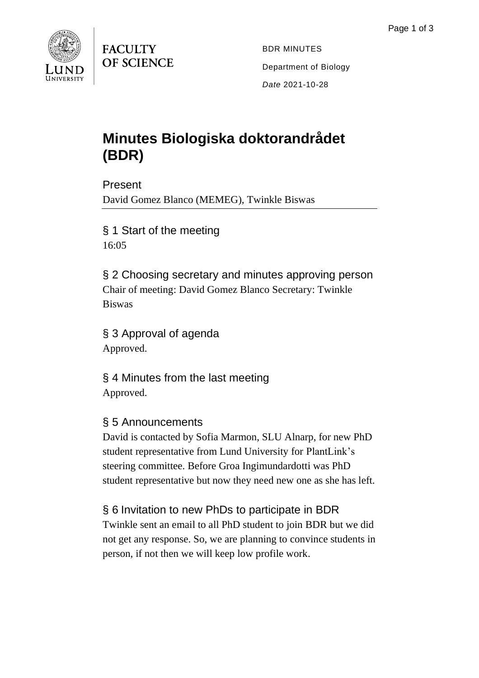

**FACULTY OF SCIENCE** 

BDR MINUTES Department of Biology *Date* 2021-10-28

# **Minutes Biologiska doktorandrådet (BDR)**

Present David Gomez Blanco (MEMEG), Twinkle Biswas

§ 1 Start of the meeting 16:05

§ 2 Choosing secretary and minutes approving person Chair of meeting: David Gomez Blanco Secretary: Twinkle Biswas

§ 3 Approval of agenda Approved.

§ 4 Minutes from the last meeting Approved.

#### § 5 Announcements

David is contacted by Sofia Marmon, SLU Alnarp, for new PhD student representative from Lund University for PlantLink's steering committee. Before Groa Ingimundardotti was PhD student representative but now they need new one as she has left.

## § 6 Invitation to new PhDs to participate in BDR

Twinkle sent an email to all PhD student to join BDR but we did not get any response. So, we are planning to convince students in person, if not then we will keep low profile work.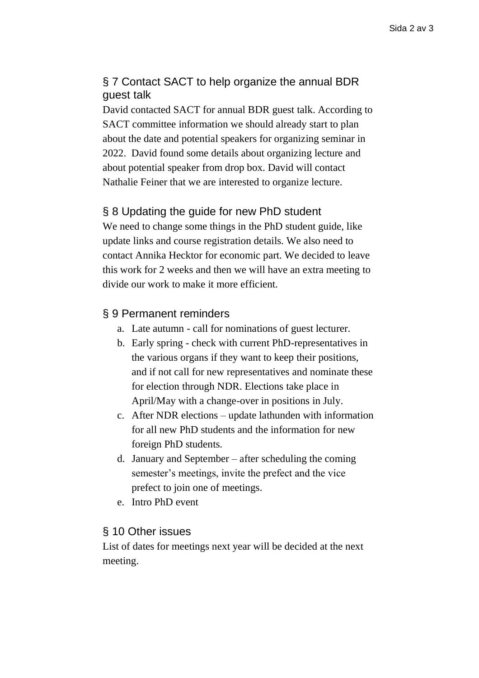### § 7 Contact SACT to help organize the annual BDR guest talk

David contacted SACT for annual BDR guest talk. According to SACT committee information we should already start to plan about the date and potential speakers for organizing seminar in 2022. David found some details about organizing lecture and about potential speaker from drop box. David will contact Nathalie Feiner that we are interested to organize lecture.

#### § 8 Updating the guide for new PhD student

We need to change some things in the PhD student guide, like update links and course registration details. We also need to contact Annika Hecktor for economic part. We decided to leave this work for 2 weeks and then we will have an extra meeting to divide our work to make it more efficient.

#### § 9 Permanent reminders

- a. Late autumn call for nominations of guest lecturer.
- b. Early spring check with current PhD-representatives in the various organs if they want to keep their positions, and if not call for new representatives and nominate these for election through NDR. Elections take place in April/May with a change-over in positions in July.
- c. After NDR elections update lathunden with information for all new PhD students and the information for new foreign PhD students.
- d. January and September after scheduling the coming semester's meetings, invite the prefect and the vice prefect to join one of meetings.
- e. Intro PhD event

#### § 10 Other issues

List of dates for meetings next year will be decided at the next meeting.